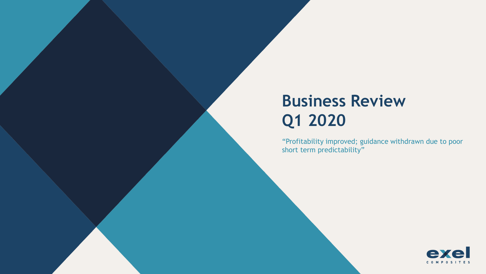# **Business Review Q1 2020**

"Profitability improved; guidance withdrawn due to poor short term predictability"

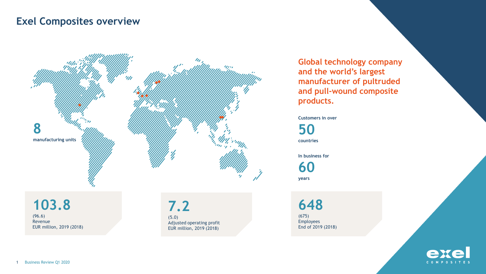## **Exel Composites overview**



**Global technology company and the world's largest manufacturer of pultruded and pull-wound composite products.**

**Customers in over** 

**50**

**countries**

**In business for** 

**60 years**

**103.8** (96.6) Revenue EUR million, 2019 (2018)

**7.2** (5.0) Adjusted operating profit EUR million, 2019 (2018)

**648**

(675) Employees End of 2019 (2018)

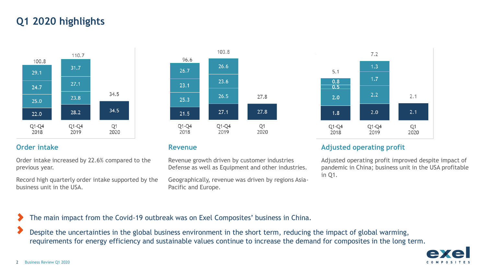## **Q1 2020 highlights**



Order intake increased by 22.6% compared to the previous year.

Record high quarterly order intake supported by the business unit in the USA.



Revenue growth driven by customer industries Defense as well as Equipment and other industries.

Geographically, revenue was driven by regions Asia-Pacific and Europe.



### **Order intake Revenue Revenue Revenue Adjusted operating profit**

Adjusted operating profit improved despite impact of pandemic in China; business unit in the USA profitable in Q1.

The main impact from the Covid-19 outbreak was on Exel Composites' business in China.

Despite the uncertainties in the global business environment in the short term, reducing the impact of global warming, requirements for energy efficiency and sustainable values continue to increase the demand for composites in the long term.

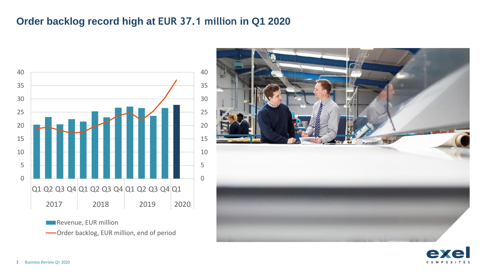## **Order backlog record high at EUR 37.1 million in Q1 2020**





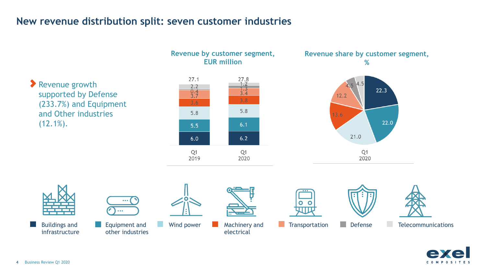## **New revenue distribution split: seven customer industries**

Revenue growth supported by Defense (233.7%) and Equipment and Other industries  $(12.1\%)$ .



**Revenue by customer segment,** 





Buildings and infrastructure



Equipment and **Defense Consumersion Defense Consumersion Defense**  $\mathbb{R}^n$ other industries

electrical











 $\mathbb{R}^n$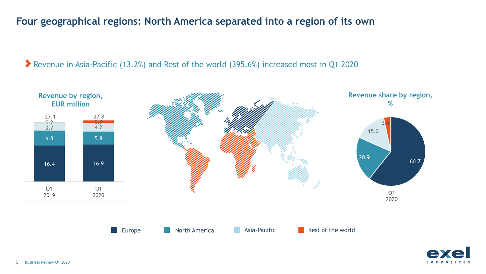## **Four geographical regions: North America separated into a region of its own**

Revenue in Asia-Pacific (13.2%) and Rest of the world (395.6%) increased most in Q1 2020



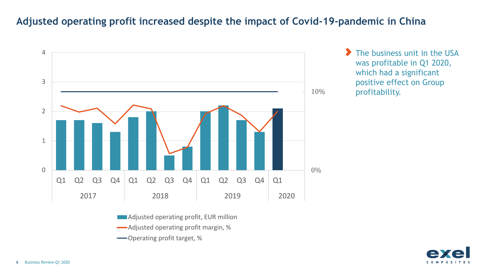## **Adjusted operating profit increased despite the impact of Covid-19-pandemic in China**



**Adjusted operating profit, EUR million** 

Adjusted operating profit margin, %

Operating profit target, %

 $\blacktriangleright$ The business unit in the USA was profitable in Q1 2020, which had a significant positive effect on Group profitability.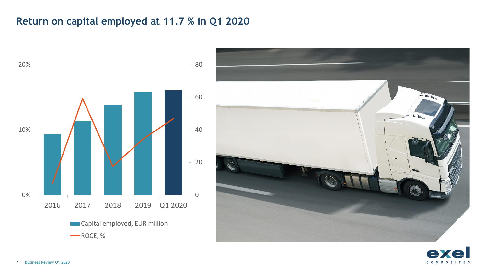## **Return on capital employed at 11.7 % in Q1 2020**



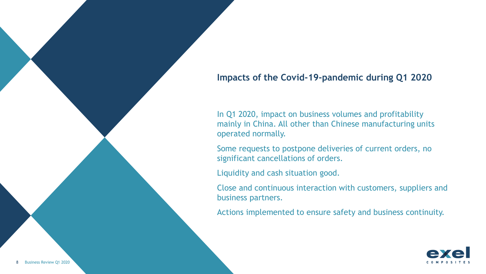### **Impacts of the Covid-19-pandemic during Q1 2020**

In Q1 2020, impact on business volumes and profitability mainly in China. All other than Chinese manufacturing units operated normally.

Some requests to postpone deliveries of current orders, no significant cancellations of orders.

Liquidity and cash situation good.

Close and continuous interaction with customers, suppliers and business partners.

Actions implemented to ensure safety and business continuity.

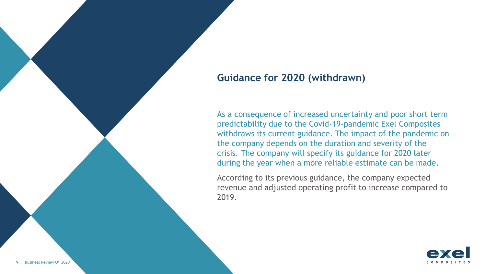### **Guidance for 2020 (withdrawn)**

As a consequence of increased uncertainty and poor short term predictability due to the Covid-19-pandemic Exel Composites withdraws its current guidance. The impact of the pandemic on the company depends on the duration and severity of the crisis. The company will specify its guidance for 2020 later during the year when a more reliable estimate can be made.

According to its previous guidance, the company expected revenue and adjusted operating profit to increase compared to 2019.

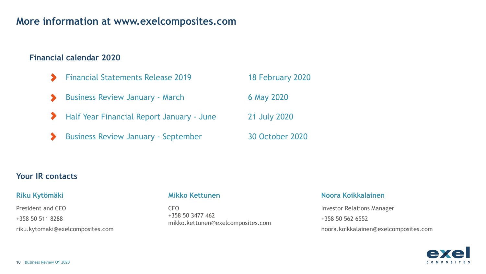### **More information at www.exelcomposites.com**

#### **Financial calendar 2020**

Financial Statements Release 2019 18 February 2020 Business Review January - March 6 May 2020 Half Year Financial Report January - June 21 July 2020 Business Review January - September 30 October 2020

#### **Your IR contacts**

President and CEO +358 50 511 8288 riku.kytomaki@exelcomposites.com

CFO +358 50 3477 462 mikko.kettunen@exelcomposites.com

#### **Riku Kytömäki Mikko Kettunen Noora Koikkalainen**

Investor Relations Manager +358 50 562 6552 noora.koikkalainen@exelcomposites.com